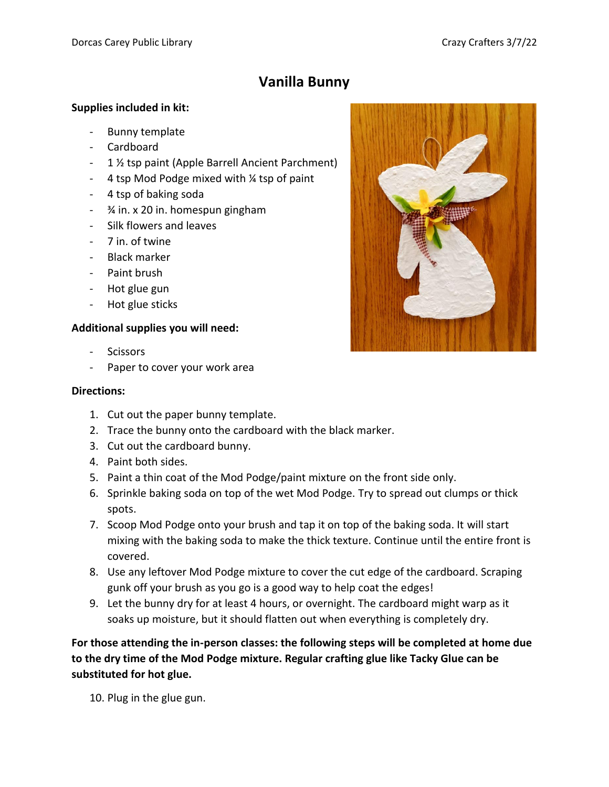## **Vanilla Bunny**

## **Supplies included in kit:**

- Bunny template
- Cardboard
- 1 ½ tsp paint (Apple Barrell Ancient Parchment)
- 4 tsp Mod Podge mixed with ¼ tsp of paint
- 4 tsp of baking soda
- ¾ in. x 20 in. homespun gingham
- Silk flowers and leaves
- 7 in. of twine
- Black marker
- Paint brush
- Hot glue gun
- Hot glue sticks

## **Additional supplies you will need:**

- Scissors
- Paper to cover your work area

## **Directions:**

- 1. Cut out the paper bunny template.
- 2. Trace the bunny onto the cardboard with the black marker.
- 3. Cut out the cardboard bunny.
- 4. Paint both sides.
- 5. Paint a thin coat of the Mod Podge/paint mixture on the front side only.
- 6. Sprinkle baking soda on top of the wet Mod Podge. Try to spread out clumps or thick spots.
- 7. Scoop Mod Podge onto your brush and tap it on top of the baking soda. It will start mixing with the baking soda to make the thick texture. Continue until the entire front is covered.
- 8. Use any leftover Mod Podge mixture to cover the cut edge of the cardboard. Scraping gunk off your brush as you go is a good way to help coat the edges!
- 9. Let the bunny dry for at least 4 hours, or overnight. The cardboard might warp as it soaks up moisture, but it should flatten out when everything is completely dry.

**For those attending the in-person classes: the following steps will be completed at home due to the dry time of the Mod Podge mixture. Regular crafting glue like Tacky Glue can be substituted for hot glue.**

10. Plug in the glue gun.